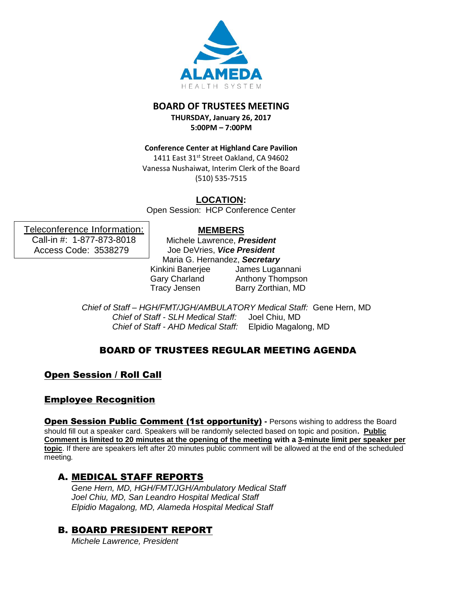

## **BOARD OF TRUSTEES MEETING**

**THURSDAY, January 26, 2017 5:00PM – 7:00PM**

**Conference Center at Highland Care Pavilion**

1411 East 31st Street Oakland, CA 94602 Vanessa Nushaiwat, Interim Clerk of the Board (510) 535-7515

**LOCATION:**

Open Session: HCP Conference Center

## **MEMBERS**

Teleconference Information: Call-in #: 1-877-873-8018 Access Code: 3538279

Michele Lawrence, *President* Joe DeVries, *Vice President* Maria G. Hernandez, *Secretary* Kinkini Banerjee Gary Charland Tracy Jensen James Lugannani Anthony Thompson Barry Zorthian, MD

*Chief of Staff – HGH/FMT/JGH/AMBULATORY Medical Staff:* Gene Hern, MD *Chief of Staff - SLH Medical Staff:* Joel Chiu, MD *Chief of Staff - AHD Medical Staff:* Elpidio Magalong, MD

# BOARD OF TRUSTEES REGULAR MEETING AGENDA

Open Session / Roll Call

# Employee Recognition

**Open Session Public Comment (1st opportunity)** - Persons wishing to address the Board should fill out a speaker card. Speakers will be randomly selected based on topic and position**. Public Comment is limited to 20 minutes at the opening of the meeting with a 3-minute limit per speaker per topic**. If there are speakers left after 20 minutes public comment will be allowed at the end of the scheduled meeting*.*

# A. MEDICAL STAFF REPORTS

*Gene Hern, MD, HGH/FMT/JGH/Ambulatory Medical Staff Joel Chiu, MD, San Leandro Hospital Medical Staff Elpidio Magalong, MD, Alameda Hospital Medical Staff*

# B. BOARD PRESIDENT REPORT

*Michele Lawrence, President*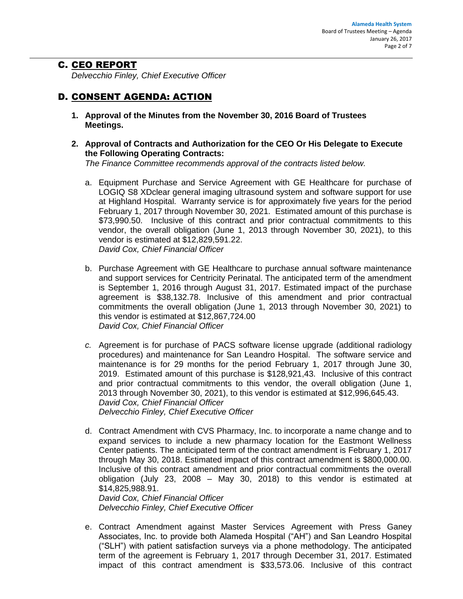### C. CEO REPORT

*Delvecchio Finley, Chief Executive Officer*

# D. CONSENT AGENDA: ACTION

- **1. Approval of the Minutes from the November 30, 2016 Board of Trustees Meetings.**
- **2. Approval of Contracts and Authorization for the CEO Or His Delegate to Execute the Following Operating Contracts:**

*The Finance Committee recommends approval of the contracts listed below.*

- a. Equipment Purchase and Service Agreement with GE Healthcare for purchase of LOGIQ S8 XDclear general imaging ultrasound system and software support for use at Highland Hospital. Warranty service is for approximately five years for the period February 1, 2017 through November 30, 2021. Estimated amount of this purchase is \$73,990.50. Inclusive of this contract and prior contractual commitments to this vendor, the overall obligation (June 1, 2013 through November 30, 2021), to this vendor is estimated at \$12,829,591.22. *David Cox, Chief Financial Officer*
- b. Purchase Agreement with GE Healthcare to purchase annual software maintenance and support services for Centricity Perinatal. The anticipated term of the amendment is September 1, 2016 through August 31, 2017. Estimated impact of the purchase agreement is \$38,132.78. Inclusive of this amendment and prior contractual commitments the overall obligation (June 1, 2013 through November 30, 2021) to this vendor is estimated at \$12,867,724.00 *David Cox, Chief Financial Officer*
- *c.* Agreement is for purchase of PACS software license upgrade (additional radiology procedures) and maintenance for San Leandro Hospital. The software service and maintenance is for 29 months for the period February 1, 2017 through June 30, 2019. Estimated amount of this purchase is \$128,921,43. Inclusive of this contract and prior contractual commitments to this vendor, the overall obligation (June 1, 2013 through November 30, 2021), to this vendor is estimated at \$12,996,645.43. *David Cox, Chief Financial Officer Delvecchio Finley, Chief Executive Officer*
- d. Contract Amendment with CVS Pharmacy, Inc. to incorporate a name change and to expand services to include a new pharmacy location for the Eastmont Wellness Center patients. The anticipated term of the contract amendment is February 1, 2017 through May 30, 2018. Estimated impact of this contract amendment is \$800,000.00. Inclusive of this contract amendment and prior contractual commitments the overall obligation (July 23, 2008 – May 30, 2018) to this vendor is estimated at \$14,825,988.91. *David Cox, Chief Financial Officer*

*Delvecchio Finley, Chief Executive Officer*

e. Contract Amendment against Master Services Agreement with Press Ganey Associates, Inc. to provide both Alameda Hospital ("AH") and San Leandro Hospital ("SLH") with patient satisfaction surveys via a phone methodology. The anticipated term of the agreement is February 1, 2017 through December 31, 2017. Estimated impact of this contract amendment is \$33,573.06. Inclusive of this contract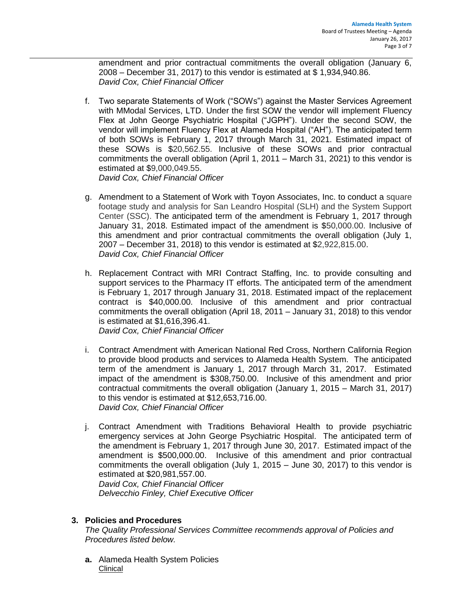amendment and prior contractual commitments the overall obligation (January 6, 2008 – December 31, 2017) to this vendor is estimated at \$ 1,934,940.86. *David Cox, Chief Financial Officer* 

- f. Two separate Statements of Work ("SOWs") against the Master Services Agreement with MModal Services, LTD. Under the first SOW the vendor will implement Fluency Flex at John George Psychiatric Hospital ("JGPH"). Under the second SOW, the vendor will implement Fluency Flex at Alameda Hospital ("AH"). The anticipated term of both SOWs is February 1, 2017 through March 31, 2021. Estimated impact of these SOWs is \$20,562.55. Inclusive of these SOWs and prior contractual commitments the overall obligation (April 1, 2011 – March 31, 2021) to this vendor is estimated at \$9,000,049.55. *David Cox, Chief Financial Officer*
- g. Amendment to a Statement of Work with Toyon Associates, Inc. to conduct a square footage study and analysis for San Leandro Hospital (SLH) and the System Support Center (SSC). The anticipated term of the amendment is February 1, 2017 through January 31, 2018. Estimated impact of the amendment is \$50,000.00. Inclusive of this amendment and prior contractual commitments the overall obligation (July 1, 2007 – December 31, 2018) to this vendor is estimated at \$2,922,815.00. *David Cox, Chief Financial Officer*
- h. Replacement Contract with MRI Contract Staffing, Inc. to provide consulting and support services to the Pharmacy IT efforts. The anticipated term of the amendment is February 1, 2017 through January 31, 2018. Estimated impact of the replacement contract is \$40,000.00. Inclusive of this amendment and prior contractual commitments the overall obligation (April 18, 2011 – January 31, 2018) to this vendor is estimated at \$1,616,396.41. *David Cox, Chief Financial Officer*
- i. Contract Amendment with American National Red Cross, Northern California Region to provide blood products and services to Alameda Health System. The anticipated term of the amendment is January 1, 2017 through March 31, 2017. Estimated impact of the amendment is \$308,750.00. Inclusive of this amendment and prior contractual commitments the overall obligation (January 1, 2015 – March 31, 2017) to this vendor is estimated at \$12,653,716.00. *David Cox, Chief Financial Officer*
- j. Contract Amendment with Traditions Behavioral Health to provide psychiatric emergency services at John George Psychiatric Hospital. The anticipated term of the amendment is February 1, 2017 through June 30, 2017. Estimated impact of the amendment is \$500,000.00. Inclusive of this amendment and prior contractual commitments the overall obligation (July 1, 2015 – June 30, 2017) to this vendor is estimated at \$20,981,557.00. *David Cox, Chief Financial Officer Delvecchio Finley, Chief Executive Officer*

### **3. Policies and Procedures**

*The Quality Professional Services Committee recommends approval of Policies and Procedures listed below.*

**a.** Alameda Health System Policies Clinical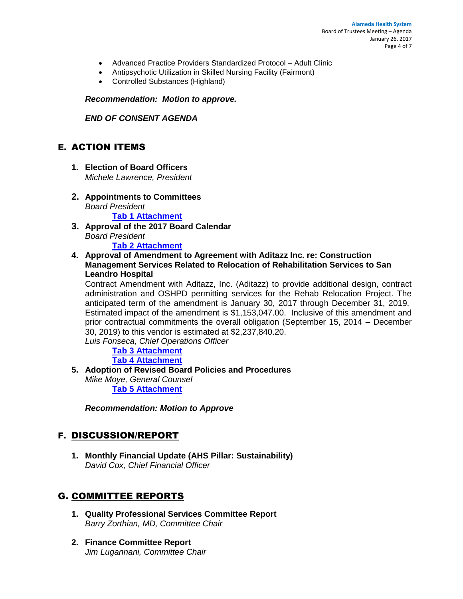- Advanced Practice Providers Standardized Protocol Adult Clinic
- Antipsychotic Utilization in Skilled Nursing Facility (Fairmont)
- Controlled Substances (Highland)

*Recommendation: Motion to approve.*

*END OF CONSENT AGENDA*

### E. ACTION ITEMS

- **1. Election of Board Officers**  *Michele Lawrence, President*
- **2. Appointments to Committees** *Board President* **Tab 1 [Attachment](http://www.alamedahealthsystem.org/sites/default/files/agenda-2017-01-26/Tab%201_Item%20F.1.a%20-%20Board%20Committee%20Assignments%20Memo.docx)**
- **3. Approval of the 2017 Board Calendar**  *Board President*

**Tab 2 [Attachment](http://www.alamedahealthsystem.org/sites/default/files/agenda-2017-01-26/Tab%202_Item%20E.2%20-%20BOT%202017%20Calendar%20-%20Draft.docx)**

**4. Approval of Amendment to Agreement with Aditazz Inc. re: Construction Management Services Related to Relocation of Rehabilitation Services to San Leandro Hospital**

Contract Amendment with Aditazz, Inc. (Aditazz) to provide additional design, contract administration and OSHPD permitting services for the Rehab Relocation Project. The anticipated term of the amendment is January 30, 2017 through December 31, 2019. Estimated impact of the amendment is \$1,153,047.00. Inclusive of this amendment and prior contractual commitments the overall obligation (September 15, 2014 – December 30, 2019) to this vendor is estimated at \$2,237,840.20.

*Luis Fonseca, Chief Operations Officer*

**Tab 3 [Attachment](http://www.alamedahealthsystem.org/sites/default/files/agenda-2017-01-26/Tab%203_Item%20E.4.a%20-%20Aditazz%20BOT%20Summary%20-%2001262017.pdf) [Tab 4 Attachment](http://www.alamedahealthsystem.org/sites/default/files/agenda-2017-01-26/Tab%204_Item%20E.4.b%20-%20Contract%20Definitions.pdf)**

**5. Adoption of Revised Board Policies and Procedures**

*Mike Moye, General Counsel* **Tab 5 [Attachment](http://www.alamedahealthsystem.org/sites/default/files/agenda-2017-01-26/Tab%205_Board%20Policies%20and%20Procedures%20%28draft%2011-9%29.docx)**

*Recommendation: Motion to Approve*

### F. DISCUSSION/REPORT

**1. Monthly Financial Update (AHS Pillar: Sustainability)** *David Cox, Chief Financial Officer*

## G. COMMITTEE REPORTS

- **1. Quality Professional Services Committee Report** *Barry Zorthian, MD, Committee Chair*
- **2. Finance Committee Report** *Jim Lugannani, Committee Chair*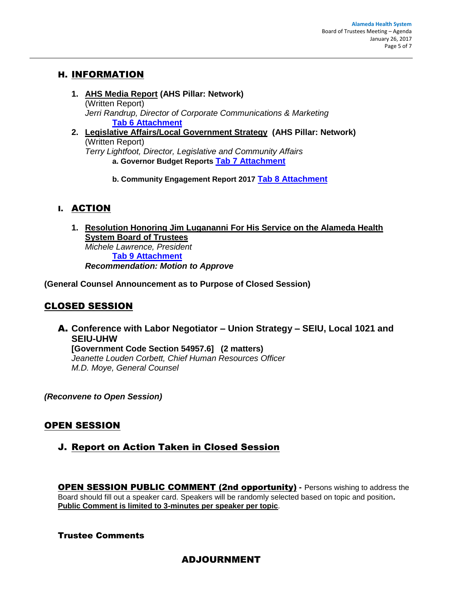## H. INFORMATION

- **1. AHS Media Report (AHS Pillar: Network)** (Written Report) *Jerri Randrup, Director of Corporate Communications & Marketing* **Tab 6 [Attachment](http://www.alamedahealthsystem.org/sites/default/files/agenda-2017-01-26/Tab%206_Item%20H.1%20-%202017%201%2026%20BOT%20Media%20Report.pdf)**
- **2. Legislative Affairs/Local Government Strategy (AHS Pillar: Network)** (Written Report) *Terry Lightfoot, Director, Legislative and Community Affairs* **a. Governor Budget Reports Tab 7 [Attachment](http://www.alamedahealthsystem.org/sites/default/files/agenda-2017-01-26/Tab%207_Item%20H.2.a%20-%20BOT%20Governor%20Budget%20Report%20012617.pdf)**
	- **b. Community Engagement Report 2017 Tab 8 [Attachment](http://www.alamedahealthsystem.org/sites/default/files/agenda-2017-01-26/Tab%208_Item%20H.2.b%20-%20Community%20Engagement%20Report%202017%201%2026%20%282%29.pdf)**

# I. ACTION

**1. Resolution Honoring Jim Lugananni For His Service on the Alameda Health System Board of Trustees** *Michele Lawrence, President* **Tab 9 [Attachment](http://www.alamedahealthsystem.org/sites/default/files/agenda-2017-01-26/Tab%209_%20I.1%20Resolution%202017-_____%20%28Recognizing%20Trustee%20Lugananni%29.docx)** *Recommendation: Motion to Approve*

**(General Counsel Announcement as to Purpose of Closed Session)**

## CLOSED SESSION

A. **Conference with Labor Negotiator – Union Strategy – SEIU, Local 1021 and SEIU-UHW [Government Code Section 54957.6] (2 matters)** *Jeanette Louden Corbett, Chief Human Resources Officer M.D. Moye, General Counsel*

*(Reconvene to Open Session)*

# OPEN SESSION

J. Report on Action Taken in Closed Session

OPEN SESSION PUBLIC COMMENT (2nd opportunity) **-** Persons wishing to address the Board should fill out a speaker card. Speakers will be randomly selected based on topic and position**. Public Comment is limited to 3-minutes per speaker per topic**.

### Trustee Comments

## ADJOURNMENT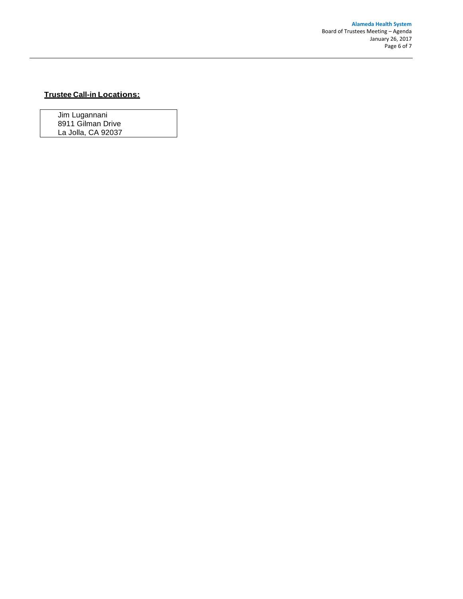#### **Trustee Call-in Locations:**

Jim Lugannani 8911 Gilman Drive La Jolla, CA 92037